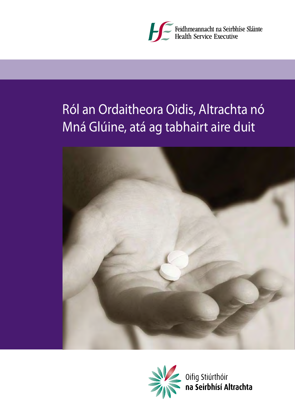

# Ról an Ordaitheora Oidis, Altrachta nó Mná Glúine, atá ag tabhairt aire duit





Oifig Stiúrthóir<br>na Seirbhísí Altrachta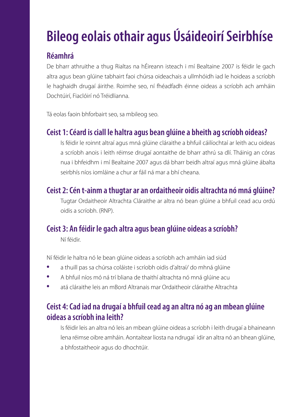# **Bileog eolais othair agus Úsáideoirí Seirbhíse**

# **Réamhrá**

De bharr athruithe a thug Rialtas na hÉireann isteach i mí Bealtaine 2007 is féidir le gach altra agus bean glúine tabhairt faoi chúrsa oideachais a ullmhóidh iad le hoideas a scríobh le haghaidh drugaí áirithe. Roimhe seo, ní fhéadfadh éinne oideas a scríobh ach amháin Dochtúirí, Fiaclóirí nó Tréidlianna.

Tá eolas faoin bhforbairt seo, sa mbileog seo.

## **Ceist 1: Céard is ciall le haltra agus bean glúine a bheith ag scríobh oideas?**

 Is féidir le roinnt altraí agus mná glúine cláraithe a bhfuil cáilíochtaí ar leith acu oideas a scríobh anois i leith réimse drugaí aontaithe de bharr athrú sa dlí. Tháinig an córas nua i bhfeidhm i mí Bealtaine 2007 agus dá bharr beidh altraí agus mná glúine ábalta seirbhís níos iomláine a chur ar fáil ná mar a bhí cheana.

#### **Ceist 2: Cén t-ainm a thugtar ar an ordaitheoir oidis altrachta nó mná glúine?**

 Tugtar Ordaitheoir Altrachta Cláraithe ar altra nó bean glúine a bhfuil cead acu ordú oidis a scríobh. (RNP).

# **Ceist 3: An féidir le gach altra agus bean glúine oideas a scríobh?**

Ní féidir.

Ní féidir le haltra nó le bean glúine oideas a scríobh ach amháin iad siúd

- **·** a thuill pas sa chúrsa coláiste i scríobh oidis d'altraí/ do mhná glúine
- **·** A bhfuil níos mó ná trí bliana de thaithí altrachta nó mná glúine acu
- **·** atá cláraithe leis an mBord Altranais mar Ordaitheoir cláraithe Altrachta

# **Ceist 4: Cad iad na drugaí a bhfuil cead ag an altra nó ag an mbean glúine oideas a scríobh ina leith?**

 Is féidir leis an altra nó leis an mbean glúine oideas a scríobh i leith drugaí a bhaineann lena réimse oibre amháin. Aontaítear liosta na ndrugaí idir an altra nó an bhean glúine, a bhfostaitheoir agus do dhochtúir.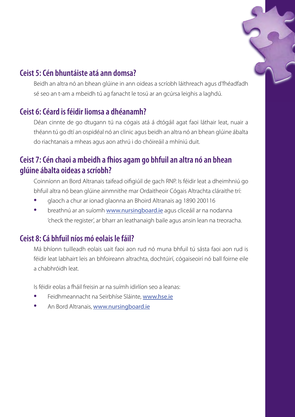

### **Ceist 5: Cén bhuntáiste atá ann domsa?**

 Beidh an altra nó an bhean glúine in ann oideas a scríobh láithreach agus d'fhéadfadh sé seo an t-am a mbeidh tú ag fanacht le tosú ar an gcúrsa leighis a laghdú.

## **Ceist 6: Céard is féidir liomsa a dhéanamh?**

 Déan cinnte de go dtugann tú na cógais atá á dtógáil agat faoi láthair leat, nuair a théann tú go dtí an ospidéal nó an clinic agus beidh an altra nó an bhean glúine ábalta do riachtanais a mheas agus aon athrú i do chóireáil a mhíniú duit.

# **Ceist 7: Cén chaoi a mbeidh a fhios agam go bhfuil an altra nó an bhean glúine ábalta oideas a scríobh?**

Coinníonn an Bord Altranais taifead oifigiúil de gach RNP. Is féidir leat a dheimhniú go bhfuil altra nó bean glúine ainmnithe mar Ordaitheoir Cógais Altrachta cláraithe trí:

- **·** glaoch a chur ar ionad glaonna an Bhoird Altranais ag 1890 200116
- **·** breathnú ar an suíomh www.nursingboard.ie agus cliceáil ar na nodanna 'check the register', ar bharr an leathanaigh baile agus ansin lean na treoracha.

#### **Ceist 8: Cá bhfuil níos mó eolais le fáil?**

 Má bhíonn tuilleadh eolais uait faoi aon rud nó muna bhfuil tú sásta faoi aon rud is féidir leat labhairt leis an bhfoireann altrachta, dochtúirí, cógaiseoirí nó ball foirne eile a chabhróidh leat.

Is féidir eolas a fháil freisin ar na suímh idirlíon seo a leanas:

- Feidhmeannacht na Seirbhíse Sláinte, www.hse.ie
- An Bord Altranais, www.nursingboard.ie